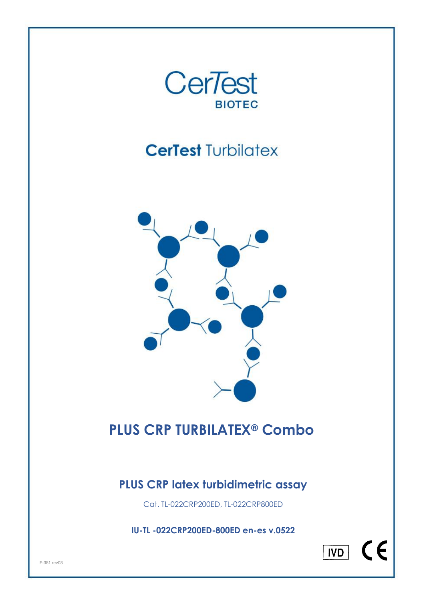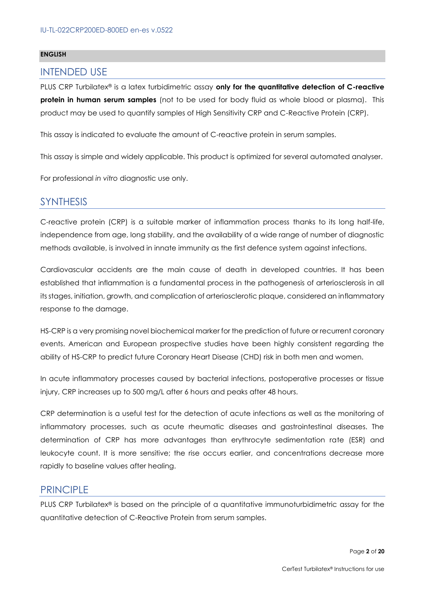#### **ENGLISH**

### INTENDED USE

PLUS CRP Turbilatex® is a latex turbidimetric assay **only for the quantitative detection of C-reactive protein in human serum samples** (not to be used for body fluid as whole blood or plasma). This product may be used to quantify samples of High Sensitivity CRP and C-Reactive Protein (CRP).

This assay is indicated to evaluate the amount of C-reactive protein in serum samples.

This assay is simple and widely applicable. This product is optimized for several automated analyser.

For professional *in vitro* diagnostic use only.

### **SYNTHESIS**

C-reactive protein (CRP) is a suitable marker of inflammation process thanks to its long half-life, independence from age, long stability, and the availability of a wide range of number of diagnostic methods available, is involved in innate immunity as the first defence system against infections.

Cardiovascular accidents are the main cause of death in developed countries. It has been established that inflammation is a fundamental process in the pathogenesis of arteriosclerosis in all its stages, initiation, growth, and complication of arteriosclerotic plaque, considered an inflammatory response to the damage.

HS-CRP is a very promising novel biochemical marker for the prediction of future or recurrent coronary events. American and European prospective studies have been highly consistent regarding the ability of HS-CRP to predict future Coronary Heart Disease (CHD) risk in both men and women.

In acute inflammatory processes caused by bacterial infections, postoperative processes or tissue injury, CRP increases up to 500 mg/L after 6 hours and peaks after 48 hours.

CRP determination is a useful test for the detection of acute infections as well as the monitoring of inflammatory processes, such as acute rheumatic diseases and gastrointestinal diseases. The determination of CRP has more advantages than erythrocyte sedimentation rate (ESR) and leukocyte count. It is more sensitive; the rise occurs earlier, and concentrations decrease more rapidly to baseline values after healing.

### **PRINCIPLE**

PLUS CRP Turbilatex*®* is based on the principle of a quantitative immunoturbidimetric assay for the quantitative detection of C-Reactive Protein from serum samples.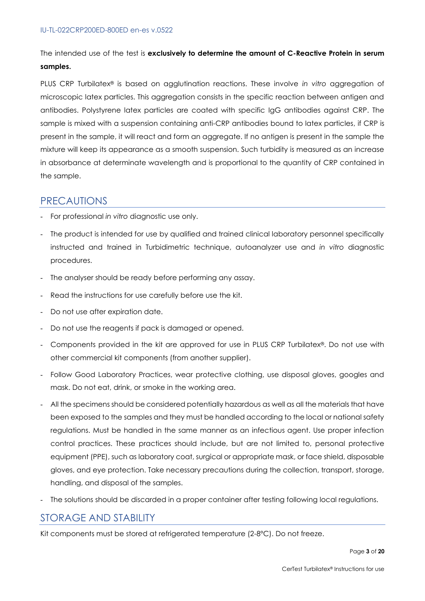The intended use of the test is **exclusively to determine the amount of C-Reactive Protein in serum samples.**

PLUS CRP Turbilatex® is based on agglutination reactions. These involve *in vitro* aggregation of microscopic latex particles. This aggregation consists in the specific reaction between antigen and antibodies. Polystyrene latex particles are coated with specific IgG antibodies against CRP. The sample is mixed with a suspension containing anti-CRP antibodies bound to latex particles, if CRP is present in the sample, it will react and form an aggregate. If no antigen is present in the sample the mixture will keep its appearance as a smooth suspension. Such turbidity is measured as an increase in absorbance at determinate wavelength and is proportional to the quantity of CRP contained in the sample.

# PRECAUTIONS

- For professional *in vitro* diagnostic use only.
- The product is intended for use by qualified and trained clinical laboratory personnel specifically instructed and trained in Turbidimetric technique, autoanalyzer use and *in vitro* diagnostic procedures.
- The analyser should be ready before performing any assay.
- Read the instructions for use carefully before use the kit.
- Do not use after expiration date.
- Do not use the reagents if pack is damaged or opened.
- Components provided in the kit are approved for use in PLUS CRP Turbilatex*®*. Do not use with other commercial kit components (from another supplier).
- Follow Good Laboratory Practices, wear protective clothing, use disposal gloves, googles and mask. Do not eat, drink, or smoke in the working area.
- All the specimens should be considered potentially hazardous as well as all the materials that have been exposed to the samples and they must be handled according to the local or national safety regulations. Must be handled in the same manner as an infectious agent. Use proper infection control practices. These practices should include, but are not limited to, personal protective equipment (PPE), such as laboratory coat, surgical or appropriate mask, or face shield, disposable gloves, and eye protection. Take necessary precautions during the collection, transport, storage, handling, and disposal of the samples.
- The solutions should be discarded in a proper container after testing following local regulations.

# STORAGE AND STABILITY

Kit components must be stored at refrigerated temperature (2-8ºC). Do not freeze.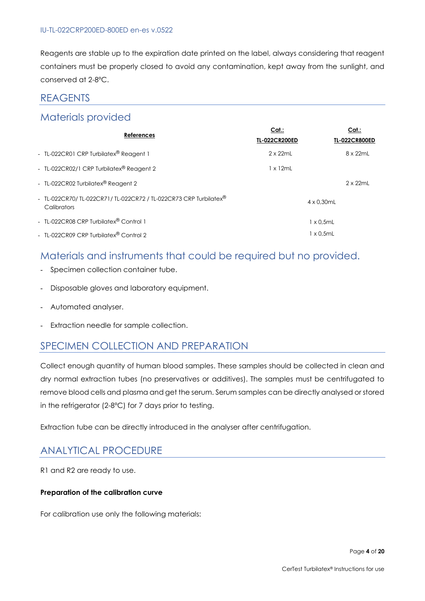#### IU-TL-022CRP200ED-800ED en-es v.0522

Reagents are stable up to the expiration date printed on the label, always considering that reagent containers must be properly closed to avoid any contamination, kept away from the sunlight, and conserved at 2-8ºC.

### **REAGENTS**

# Materials provided

| <b>References</b>                                                                          | Cat.:<br><b>TL-022CR200ED</b> | Cat.:<br><b>TL-022CR800ED</b> |
|--------------------------------------------------------------------------------------------|-------------------------------|-------------------------------|
| - TL-022CR01 CRP Turbilatex® Reagent 1                                                     | $2 \times 22$ ml              | 8 x 22mL                      |
| - TL-022CR02/1 CRP Turbilatex® Reagent 2                                                   | 1 x 12mL                      |                               |
| - TL-022CR02 Turbilatex <sup>®</sup> Reagent 2                                             |                               | $2 \times 22$ mL              |
| - TL-022CR70/TL-022CR71/TL-022CR72 / TL-022CR73 CRP Turbilatex <sup>®</sup><br>Calibrators |                               | $4 \times 0.30$ mL            |
| - TL-022CR08 CRP Turbilatex <sup>®</sup> Control 1                                         |                               | 1 x 0.5mL                     |
| - TL-022CR09 CRP Turbilatex® Control 2                                                     |                               | 1 x 0.5mL                     |

# Materials and instruments that could be required but no provided.

- Specimen collection container tube.
- Disposable gloves and laboratory equipment.
- Automated analyser.
- Extraction needle for sample collection.

# SPECIMEN COLLECTION AND PREPARATION

Collect enough quantity of human blood samples. These samples should be collected in clean and dry normal extraction tubes (no preservatives or additives). The samples must be centrifugated to remove blood cells and plasma and get the serum. Serum samples can be directly analysed or stored in the refrigerator (2-8ºC) for 7 days prior to testing.

Extraction tube can be directly introduced in the analyser after centrifugation.

# ANALYTICAL PROCEDURE

R1 and R2 are ready to use.

#### **Preparation of the calibration curve**

For calibration use only the following materials: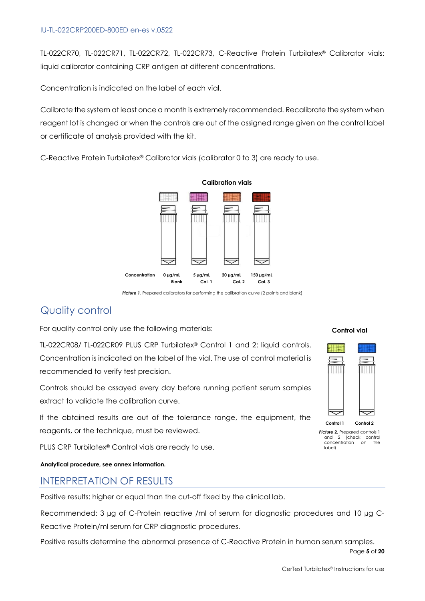#### IU-TL-022CRP200ED-800ED en-es v.0522

TL-022CR70, TL-022CR71, TL-022CR72, TL-022CR73, C-Reactive Protein Turbilatex® Calibrator vials: liquid calibrator containing CRP antigen at different concentrations.

Concentration is indicated on the label of each vial.

Calibrate the system at least once a month is extremely recommended. Recalibrate the system when reagent lot is changed or when the controls are out of the assigned range given on the control label or certificate of analysis provided with the kit.

C-Reactive Protein Turbilatex® Calibrator vials (calibrator 0 to 3) are ready to use.



**Calibration vials**

**Picture 1.** Prepared calibrators for performing the calibration curve (2 points and blank)

# Quality control

For quality control only use the following materials:

TL-022CR08/ TL-022CR09 PLUS CRP Turbilatex® Control 1 and 2: liquid controls. Concentration is indicated on the label of the vial. The use of control material is recommended to verify test precision.

Controls should be assayed every day before running patient serum samples extract to validate the calibration curve.

If the obtained results are out of the tolerance range, the equipment, the reagents, or the technique, must be reviewed.

PLUS CRP Turbilatex® Control vials are ready to use.

**Analytical procedure, see annex information.**

# INTERPRETATION OF RESULTS

Positive results: higher or equal than the cut-off fixed by the clinical lab.

Recommended: 3 µg of C-Protein reactive /ml of serum for diagnostic procedures and 10 µg C-Reactive Protein/ml serum for CRP diagnostic procedures.

Positive results determine the abnormal presence of C-Reactive Protein in human serum samples.

### **Control vial**



**Picture 2.** Prepared controls 1 and 2 (check control concentration on the label)

Page **5** of **20**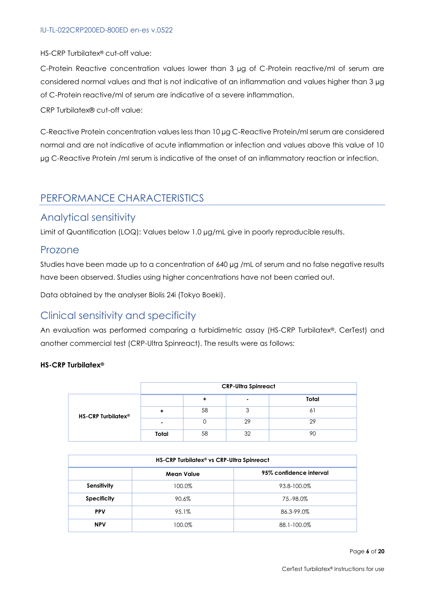HS-CRP Turbilatex® cut-off value:

C-Protein Reactive concentration values lower than 3 µg of C-Protein reactive/ml of serum are considered normal values and that is not indicative of an inflammation and values higher than 3 µg of C-Protein reactive/ml of serum are indicative of a severe inflammation.

CRP Turbilatex® cut-off value:

C-Reactive Protein concentration values less than 10 µg C-Reactive Protein/ml serum are considered normal and are not indicative of acute inflammation or infection and values above this value of 10 µg C-Reactive Protein /ml serum is indicative of the onset of an inflammatory reaction or infection.

# PERFORMANCE CHARACTERISTICS

### Analytical sensitivity

Limit of Quantification (LOQ): Values below 1.0 ua/mL give in poorly reproducible results.

### Prozone

Studies have been made up to a concentration of 640 µg /mL of serum and no false negative results have been observed. Studies using higher concentrations have not been carried out.

Data obtained by the analyser Biolis 24i (Tokyo Boeki).

# Clinical sensitivity and specificity

An evaluation was performed comparing a turbidimetric assay (HS-CRP Turbilatex®, CerTest) and another commercial test (CRP-Ultra Spinreact). The results were as follows:

#### **HS-CRP Turbilatex®**

|                                | <b>CRP-Ultra Spinreact</b> |    |    |       |
|--------------------------------|----------------------------|----|----|-------|
|                                |                            |    |    | Total |
| HS-CRP Turbilatex <sup>®</sup> |                            | 58 |    |       |
|                                |                            |    | 29 | 29    |
|                                | Total                      | 58 | 32 |       |

| HS-CRP Turbilatex <sup>®</sup> vs CRP-Ultra Spinreact |        |             |  |  |
|-------------------------------------------------------|--------|-------------|--|--|
| 95% confidence interval<br><b>Mean Value</b>          |        |             |  |  |
| Sensitivity                                           | 100.0% | 93.8-100.0% |  |  |
| <b>Specificity</b>                                    | 90.6%  | 75.-98.0%   |  |  |
| <b>PPV</b>                                            | 95.1%  | 86.3-99.0%  |  |  |
| <b>NPV</b>                                            | 100.0% | 88.1-100.0% |  |  |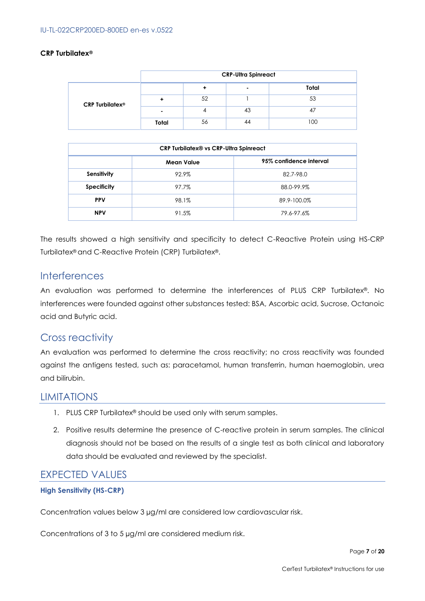#### **CRP Turbilatex®**

|                                   | <b>CRP-Ultra Spinreact</b> |    |    |       |
|-----------------------------------|----------------------------|----|----|-------|
|                                   |                            |    |    | Total |
| <b>CRP Turbilatex<sup>®</sup></b> |                            | 52 |    | 53    |
|                                   | -                          |    | 43 |       |
|                                   | Total                      | 56 | 44 | 100   |

| <b>CRP Turbilatex® vs CRP-Ultra Spinreact</b> |       |             |  |  |
|-----------------------------------------------|-------|-------------|--|--|
| 95% confidence interval<br><b>Mean Value</b>  |       |             |  |  |
| Sensitivity                                   | 92.9% | 82.7-98.0   |  |  |
| <b>Specificity</b>                            | 97.7% | 88.0-99.9%  |  |  |
| <b>PPV</b>                                    | 98.1% | 89.9-100.0% |  |  |
| <b>NPV</b>                                    | 91.5% | 79.6-97.6%  |  |  |

The results showed a high sensitivity and specificity to detect C-Reactive Protein using HS-CRP Turbilatex® and C-Reactive Protein (CRP) Turbilatex®.

### **Interferences**

An evaluation was performed to determine the interferences of PLUS CRP Turbilatex®. No interferences were founded against other substances tested: BSA, Ascorbic acid, Sucrose, Octanoic acid and Butyric acid.

# Cross reactivity

An evaluation was performed to determine the cross reactivity; no cross reactivity was founded against the antigens tested, such as: paracetamol, human transferrin, human haemoglobin, urea and bilirubin.

# LIMITATIONS

- 1. PLUS CRP Turbilatex® should be used only with serum samples.
- 2. Positive results determine the presence of C-reactive protein in serum samples. The clinical diagnosis should not be based on the results of a single test as both clinical and laboratory data should be evaluated and reviewed by the specialist.

### EXPECTED VALUES

#### **High Sensitivity (HS-CRP)**

Concentration values below 3 µg/ml are considered low cardiovascular risk.

Concentrations of 3 to 5 µg/ml are considered medium risk.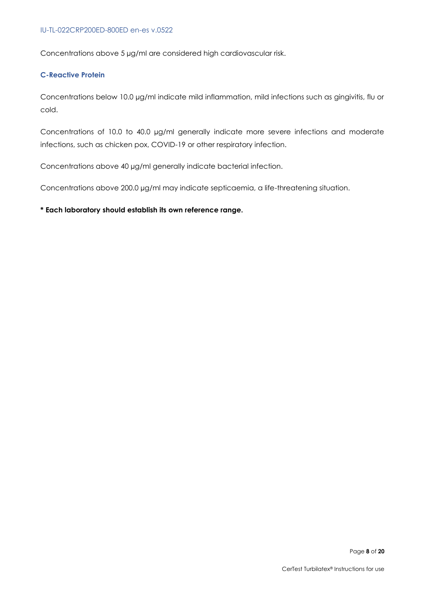Concentrations above 5 µg/ml are considered high cardiovascular risk.

#### **C-Reactive Protein**

Concentrations below 10.0 µg/ml indicate mild inflammation, mild infections such as gingivitis, flu or cold.

Concentrations of 10.0 to 40.0 µg/ml generally indicate more severe infections and moderate infections, such as chicken pox, COVID-19 or other respiratory infection.

Concentrations above 40 µg/ml generally indicate bacterial infection.

Concentrations above 200.0 µg/ml may indicate septicaemia, a life-threatening situation.

#### **\* Each laboratory should establish its own reference range.**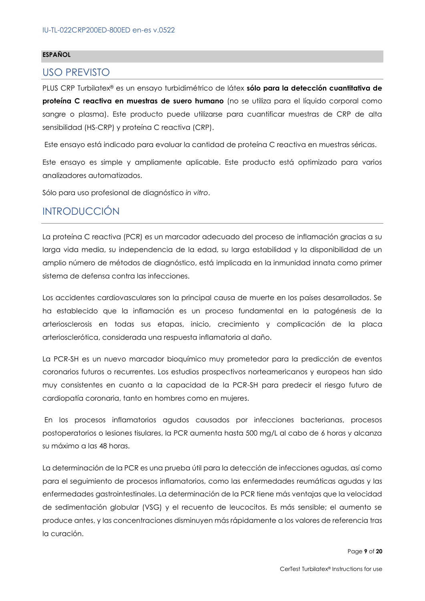#### **ESPAÑOL**

### USO PREVISTO

PLUS CRP Turbilatex® es un ensayo turbidimétrico de látex **sólo para la detección cuantitativa de proteína C reactiva en muestras de suero humano** (no se utiliza para el líquido corporal como sangre o plasma). Este producto puede utilizarse para cuantificar muestras de CRP de alta sensibilidad (HS-CRP) y proteína C reactiva (CRP).

Este ensayo está indicado para evaluar la cantidad de proteína C reactiva en muestras séricas.

Este ensayo es simple y ampliamente aplicable. Este producto está optimizado para varios analizadores automatizados.

Sólo para uso profesional de diagnóstico *in vitro*.

# INTRODUCCIÓN

La proteína C reactiva (PCR) es un marcador adecuado del proceso de inflamación gracias a su larga vida media, su independencia de la edad, su larga estabilidad y la disponibilidad de un amplio número de métodos de diagnóstico, está implicada en la inmunidad innata como primer sistema de defensa contra las infecciones.

Los accidentes cardiovasculares son la principal causa de muerte en los países desarrollados. Se ha establecido que la inflamación es un proceso fundamental en la patogénesis de la arteriosclerosis en todas sus etapas, inicio, crecimiento y complicación de la placa arteriosclerótica, considerada una respuesta inflamatoria al daño.

La PCR-SH es un nuevo marcador bioquímico muy prometedor para la predicción de eventos coronarios futuros o recurrentes. Los estudios prospectivos norteamericanos y europeos han sido muy consistentes en cuanto a la capacidad de la PCR-SH para predecir el riesgo futuro de cardiopatía coronaria, tanto en hombres como en mujeres.

En los procesos inflamatorios agudos causados por infecciones bacterianas, procesos postoperatorios o lesiones tisulares, la PCR aumenta hasta 500 mg/L al cabo de 6 horas y alcanza su máximo a las 48 horas.

La determinación de la PCR es una prueba útil para la detección de infecciones agudas, así como para el seguimiento de procesos inflamatorios, como las enfermedades reumáticas agudas y las enfermedades gastrointestinales. La determinación de la PCR tiene más ventajas que la velocidad de sedimentación globular (VSG) y el recuento de leucocitos. Es más sensible; el aumento se produce antes, y las concentraciones disminuyen más rápidamente a los valores de referencia tras la curación.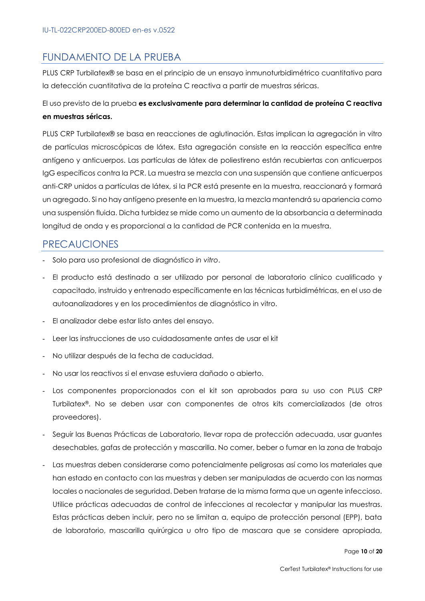# FUNDAMENTO DE LA PRUEBA

PLUS CRP Turbilatex® se basa en el principio de un ensayo inmunoturbidimétrico cuantitativo para la detección cuantitativa de la proteína C reactiva a partir de muestras séricas.

El uso previsto de la prueba **es exclusivamente para determinar la cantidad de proteína C reactiva en muestras séricas.**

PLUS CRP Turbilatex® se basa en reacciones de aglutinación. Estas implican la agregación in vitro de partículas microscópicas de látex. Esta agregación consiste en la reacción específica entre antígeno y anticuerpos. Las partículas de látex de poliestireno están recubiertas con anticuerpos IgG específicos contra la PCR. La muestra se mezcla con una suspensión que contiene anticuerpos anti-CRP unidos a partículas de látex, si la PCR está presente en la muestra, reaccionará y formará un agregado. Si no hay antígeno presente en la muestra, la mezcla mantendrá su apariencia como una suspensión fluida. Dicha turbidez se mide como un aumento de la absorbancia a determinada longitud de onda y es proporcional a la cantidad de PCR contenida en la muestra.

# PRECAUCIONES

- Solo para uso profesional de diagnóstico *in vitro*.
- El producto está destinado a ser utilizado por personal de laboratorio clínico cualificado y capacitado, instruido y entrenado específicamente en las técnicas turbidimétricas, en el uso de autoanalizadores y en los procedimientos de diagnóstico in vitro.
- El analizador debe estar listo antes del ensayo.
- Leer las instrucciones de uso cuidadosamente antes de usar el kit
- No utilizar después de la fecha de caducidad.
- No usar los reactivos si el envase estuviera dañado o abierto.
- Los componentes proporcionados con el kit son aprobados para su uso con PLUS CRP Turbilatex®. No se deben usar con componentes de otros kits comercializados (de otros proveedores).
- Seguir las Buenas Prácticas de Laboratorio, llevar ropa de protección adecuada, usar guantes desechables, gafas de protección y mascarilla. No comer, beber o fumar en la zona de trabajo
- Las muestras deben considerarse como potencialmente peligrosas así como los materiales que han estado en contacto con las muestras y deben ser manipuladas de acuerdo con las normas locales o nacionales de seguridad. Deben tratarse de la misma forma que un agente infeccioso. Utilice prácticas adecuadas de control de infecciones al recolectar y manipular las muestras. Estas prácticas deben incluir, pero no se limitan a, equipo de protección personal (EPP), bata de laboratorio, mascarilla quirúrgica u otro tipo de mascara que se considere apropiada,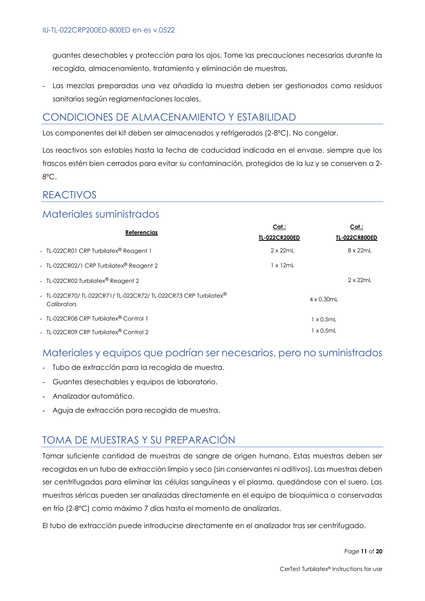guantes desechables y protección para los ojos. Tome las precauciones necesarias durante la recogida, almacenamiento, tratamiento y eliminación de muestras.

- Las mezclas preparadas una vez añadida la muestra deben ser gestionados como residuos sanitarios según reglamentaciones locales.

# CONDICIONES DE ALMACENAMIENTO Y ESTABILIDAD

Los componentes del kit deben ser almacenados y refrigerados (2-8ºC). No congelar.

Los reactivos son estables hasta la fecha de caducidad indicada en el envase, siempre que los frascos estén bien cerrados para evitar su contaminación, protegidos de la luz y se conserven a 2- 8ºC.

# REACTIVOS

### Materiales suministrados

| <b>Referencias</b>                                                           | Cat:<br><b>TL-022CR200ED</b> | Cat.:<br><b>TL-022CR800ED</b> |
|------------------------------------------------------------------------------|------------------------------|-------------------------------|
| - TL-022CR01 CRP Turbilatex <sup>®</sup> Reagent 1                           | $2 \times 22$ mL             | 8 x 22mL                      |
| - TL-022CR02/1 CRP Turbilatex® Reagent 2                                     | 1 x 12mL                     |                               |
| - TL-022CR02 Turbilatex <sup>®</sup> Reagent 2                               |                              | $2 \times 22$ mL              |
| - TL-022CR70/TL-022CR71/TL-022CR72/TL-022CR73 CRP Turbilatex®<br>Calibrators |                              | $4 \times 0.30$ mL            |
| - TL-022CR08 CRP Turbilatex® Control 1                                       |                              | $1 \times 0.5$ mL             |
| - TL-022CR09 CRP Turbilatex® Control 2                                       |                              | $1 \times 0.5$ mL             |

# Materiales y equipos que podrían ser necesarios, pero no suministrados

- Tubo de extracción para la recogida de muestra.
- Guantes desechables y equipos de laboratorio.
- Analizador automático.
- Aguja de extracción para recogida de muestra.

# TOMA DE MUESTRAS Y SU PREPARACIÓN

Tomar suficiente cantidad de muestras de sangre de origen humano. Estas muestras deben ser recogidas en un tubo de extracción limpio y seco (sin conservantes ni aditivos). Las muestras deben ser centrifugadas para eliminar las células sanguíneas y el plasma, quedándose con el suero. Las muestras séricas pueden ser analizadas directamente en el equipo de bioquímica o conservadas en frío (2-8ºC) como máximo 7 días hasta el momento de analizarlas.

El tubo de extracción puede introducirse directamente en el analizador tras ser centrifugado.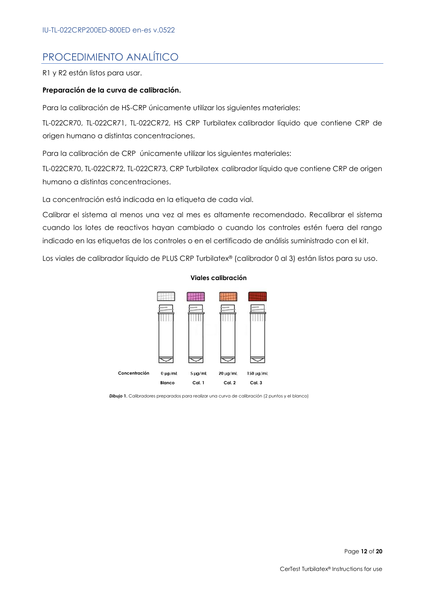# PROCEDIMIENTO ANALÍTICO

R1 y R2 están listos para usar.

#### **Preparación de la curva de calibración.**

Para la calibración de HS-CRP únicamente utilizar los siguientes materiales:

TL-022CR70, TL-022CR71, TL-022CR72, HS CRP Turbilatex calibrador líquido que contiene CRP de origen humano a distintas concentraciones.

Para la calibración de CRP únicamente utilizar los siguientes materiales:

TL-022CR70, TL-022CR72, TL-022CR73, CRP Turbilatex calibrador líquido que contiene CRP de origen humano a distintas concentraciones.

La concentración está indicada en la etiqueta de cada vial.

Calibrar el sistema al menos una vez al mes es altamente recomendado. Recalibrar el sistema cuando los lotes de reactivos hayan cambiado o cuando los controles estén fuera del rango indicado en las etiquetas de los controles o en el certificado de análisis suministrado con el kit.

Los viales de calibrador líquido de PLUS CRP Turbilatex® (calibrador 0 al 3) están listos para su uso.



#### **Viales calibración**

**Dibujo 1.** Calibradores preparados para realizar una curva de calibración (2 puntos y el blanco)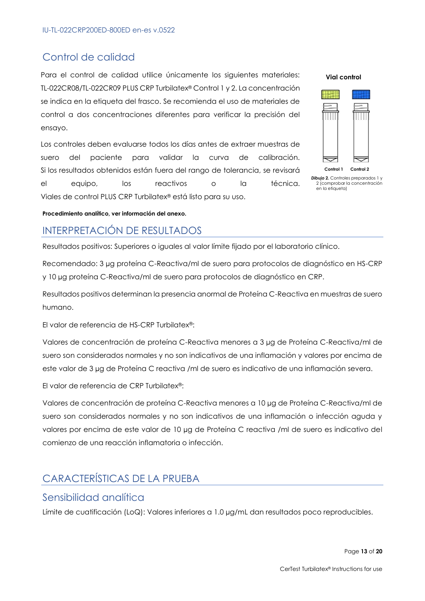# Control de calidad

Para el control de calidad utilice únicamente los siguientes materiales: TL-022CR08/TL-022CR09 PLUS CRP Turbilatex® Control 1 y 2. La concentración se indica en la etiqueta del frasco. Se recomienda el uso de materiales de control a dos concentraciones diferentes para verificar la precisión del ensayo.

Los controles deben evaluarse todos los días antes de extraer muestras de suero del paciente para validar la curva de calibración. Si los resultados obtenidos están fuera del rango de tolerancia, se revisará el equipo, los reactivos o la técnica. Viales de control PLUS CRP Turbilatex® está listo para su uso.



**Dibujo 2.** Controles preparados 1 y 2 (comprobar la concentración en la etiqueta)

**Procedimiento analítico, ver información del anexo.**

# INTERPRETACIÓN DE RESULTADOS

Resultados positivos: Superiores o iguales al valor límite fijado por el laboratorio clínico.

Recomendado: 3 µg proteína C-Reactiva/ml de suero para protocolos de diagnóstico en HS-CRP y 10 µg proteína C-Reactiva/ml de suero para protocolos de diagnóstico en CRP.

Resultados positivos determinan la presencia anormal de Proteína C-Reactiva en muestras de suero humano.

El valor de referencia de HS-CRP Turbilatex®:

Valores de concentración de proteína C-Reactiva menores a 3 µg de Proteína C-Reactiva/ml de suero son considerados normales y no son indicativos de una inflamación y valores por encima de este valor de 3 µg de Proteína C reactiva /ml de suero es indicativo de una inflamación severa.

El valor de referencia de CRP Turbilatex®:

Valores de concentración de proteína C-Reactiva menores a 10 µg de Proteína C-Reactiva/ml de suero son considerados normales y no son indicativos de una inflamación o infección aguda y valores por encima de este valor de 10 µg de Proteína C reactiva /ml de suero es indicativo del comienzo de una reacción inflamatoria o infección.

# CARACTERÍSTICAS DE LA PRUEBA

### Sensibilidad analítica

Límite de cuatificación (LoQ): Valores inferiores a 1.0 µg/mL dan resultados poco reproducibles.

Page **13** of **20**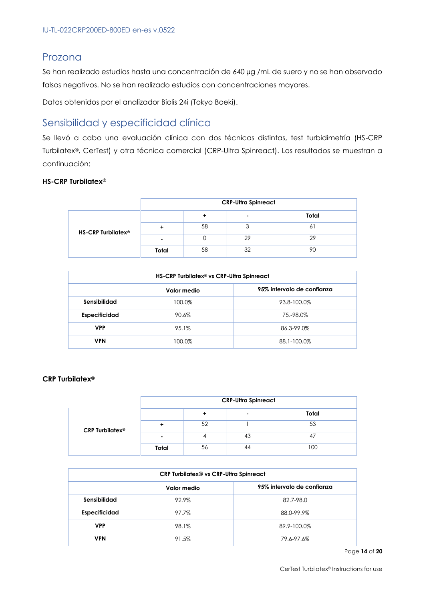# Prozona

Se han realizado estudios hasta una concentración de 640 µg /mL de suero y no se han observado falsos negativos. No se han realizado estudios con concentraciones mayores.

Datos obtenidos por el analizador Biolis 24i (Tokyo Boeki).

# Sensibilidad y especificidad clínica

Se llevó a cabo una evaluación clínica con dos técnicas distintas, test turbidimetría (HS-CRP Turbilatex®, CerTest) y otra técnica comercial (CRP-Ultra Spinreact). Los resultados se muestran a continuación:

#### **HS-CRP Turbilatex®**

|                                | <b>CRP-Ultra Spinreact</b> |    |    |                |
|--------------------------------|----------------------------|----|----|----------------|
|                                |                            |    | ۰  | Total          |
| HS-CRP Turbilatex <sup>®</sup> |                            | 58 | っ  | 6 <sup>1</sup> |
|                                |                            |    | 29 | 29             |
|                                | Total                      | 58 | 32 | 90             |

| HS-CRP Turbilatex <sup>®</sup> vs CRP-Ultra Spinreact |        |             |  |  |
|-------------------------------------------------------|--------|-------------|--|--|
| 95% intervalo de confianza<br>Valor medio             |        |             |  |  |
| Sensibilidad                                          | 100.0% | 93.8-100.0% |  |  |
| Especificidad                                         | 90.6%  | 75.-98.0%   |  |  |
| <b>VPP</b>                                            | 95.1%  | 86.3-99.0%  |  |  |
| <b>VPN</b>                                            | 100.0% | 88.1-100.0% |  |  |

#### **CRP Turbilatex®**

|                             | <b>CRP-Ultra Spinreact</b> |    |                          |       |
|-----------------------------|----------------------------|----|--------------------------|-------|
|                             |                            |    | $\overline{\phantom{0}}$ | Total |
| CRP Turbilatex <sup>®</sup> |                            | 52 |                          | 53    |
|                             |                            |    | 43                       | -47   |
|                             | Total                      | 56 | 44                       | 100   |

| CRP Turbilatex® vs CRP-Ultra Spinreact    |       |             |  |  |
|-------------------------------------------|-------|-------------|--|--|
| 95% intervalo de confianza<br>Valor medio |       |             |  |  |
| Sensibilidad                              | 92.9% | 82.7-98.0   |  |  |
| <b>Especificidad</b>                      | 97.7% | 88.0-99.9%  |  |  |
| <b>VPP</b>                                | 98.1% | 89.9-100.0% |  |  |
| <b>VPN</b>                                | 91.5% | 79.6-97.6%  |  |  |

Page **14** of **20**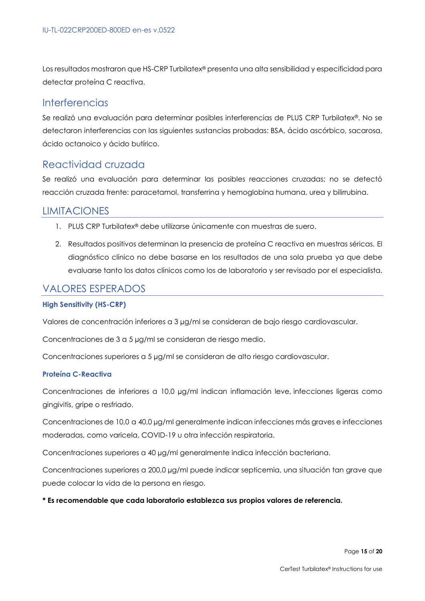Los resultados mostraron que HS-CRP Turbilatex® presenta una alta sensibilidad y especificidad para detectar proteína C reactiva.

### **Interferencias**

Se realizó una evaluación para determinar posibles interferencias de PLUS CRP Turbilatex®. No se detectaron interferencias con las siguientes sustancias probadas: BSA, ácido ascórbico, sacarosa, ácido octanoico y ácido butírico.

# Reactividad cruzada

Se realizó una evaluación para determinar las posibles reacciones cruzadas; no se detectó reacción cruzada frente: paracetamol, transferrina y hemoglobina humana, urea y bilirrubina.

### LIMITACIONES

- 1. PLUS CRP Turbilatex® debe utilizarse únicamente con muestras de suero.
- 2. Resultados positivos determinan la presencia de proteína C reactiva en muestras séricas. El diagnóstico clínico no debe basarse en los resultados de una sola prueba ya que debe evaluarse tanto los datos clínicos como los de laboratorio y ser revisado por el especialista.

### VALORES ESPERADOS

#### **High Sensitivity (HS-CRP)**

Valores de concentración inferiores a 3 µg/ml se consideran de bajo riesgo cardiovascular.

Concentraciones de 3 a 5 µg/ml se consideran de riesgo medio.

Concentraciones superiores a 5 µg/ml se consideran de alto riesgo cardiovascular.

### **Proteína C-Reactiva**

Concentraciones de inferiores a 10,0 µg/ml indican inflamación leve, infecciones ligeras como gingivitis, gripe o resfriado.

Concentraciones de 10,0 a 40,0 µg/ml generalmente indican infecciones más graves e infecciones moderadas, como varicela, COVID-19 u otra infección respiratoria.

Concentraciones superiores a 40 µg/ml generalmente indica infección bacteriana.

Concentraciones superiores a 200,0 µg/ml puede indicar septicemia, una situación tan grave que puede colocar la vida de la persona en riesgo.

#### **\* Es recomendable que cada laboratorio establezca sus propios valores de referencia.**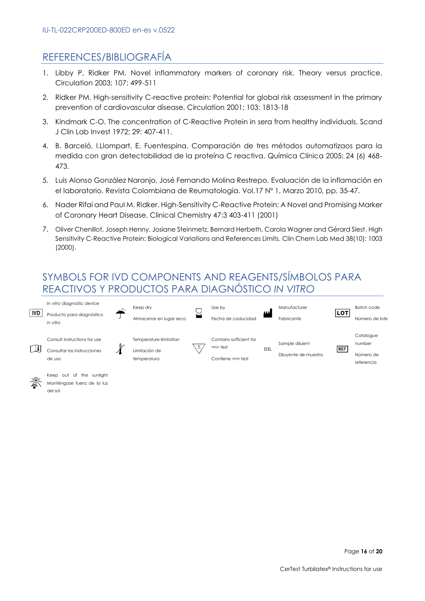# REFERENCES/BIBLIOGRAFÍA

- 1. Libby P, Ridker PM. Novel inflammatory markers of coronary risk. Theory versus practice. Circulation 2003; 107: 499-511
- 2. Ridker PM. High-sensitivity C-reactive protein: Potential for global risk assessment in the primary prevention of cardiovascular disease. Circulation 2001; 103: 1813-18
- 3. Kindmark C-O. The concentration of C-Reactive Protein in sera from healthy individuals. Scand J Clin Lab Invest 1972; 29: 407-411.
- 4. B. Barceló, I.Llompart, E. Fuentespina. Comparación de tres métodos automatizaos para la medida con gran detectabilidad de la proteína C reactiva. Química Clínica 2005; 24 (6) 468- 473.
- 5. Luis Alonso González Naranjo, José Fernando Molina Restrepo. Evaluación de la inflamación en el laboratorio. Revista Colombiana de Reumatología. Vol.17 Nº 1, Marzo 2010, pp. 35-47.
- 6. Nader Rifai and Paul M. Ridker. High-Sensitivity C-Reactive Protein: A Novel and Promising Marker of Coronary Heart Disease. Clinical Chemistry 47:3 403-411 (2001)
- 7. Oliver Chenillot, Joseph Henny, Josiane Steinmetz, Bernard Herbeth, Carola Wagner and Gérard Siest. High Sensitivity C-Reactive Protein: Biological Variations and References Limits. Clin Chem Lab Med 38(10): 1003 (2000).

# SYMBOLS FOR IVD COMPONENTS AND REAGENTS/SÍMBOLOS PARA REACTIVOS Y PRODUCTOS PARA DIAGNÓSTICO *IN VITRO*





Manténgase fuera de la luz del sol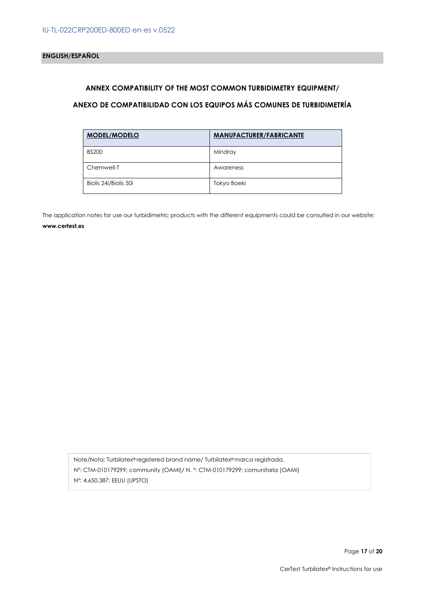#### **ANNEX COMPATIBILITY OF THE MOST COMMON TURBIDIMETRY EQUIPMENT/**

### **ANEXO DE COMPATIBILIDAD CON LOS EQUIPOS MÁS COMUNES DE TURBIDIMETRÍA**

| <b>MODEL/MODELO</b>   | <b>MANUFACTURER/FABRICANTE</b> |
|-----------------------|--------------------------------|
| <b>BS200</b>          | Mindray                        |
| Chemwell-T            | Awareness                      |
| Biolis 24i/Biolis 50i | Tokyo Boeki                    |

The application notes for use our turbidimetric products with the different equipments could be consulted in our website: **www.certest.es**

Note/Nota: Turbilatex® registered brand name/ Turbilatex® marca registrada. Nº: CTM-010179299; community (OAMI)/ N. º: CTM-010179299; comunitaria (OAMI) Nº: 4,650,387; EEUU (UPSTO)

Page **17** of **20**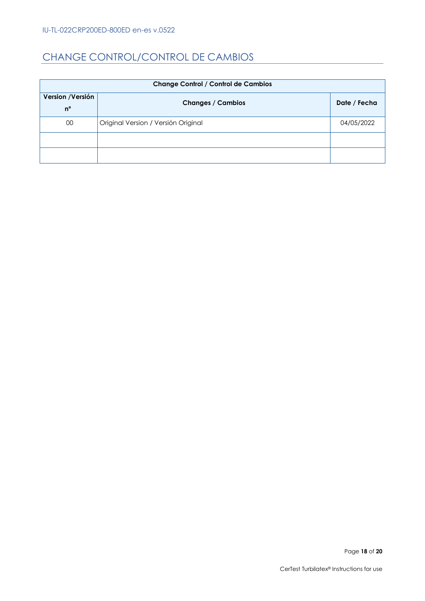# CHANGE CONTROL/CONTROL DE CAMBIOS

| <b>Change Control / Control de Cambios</b> |                                     |              |  |  |
|--------------------------------------------|-------------------------------------|--------------|--|--|
| Version / Versión                          | <b>Changes / Cambios</b>            | Date / Fecha |  |  |
| $n^{\circ}$                                |                                     |              |  |  |
| 00                                         | Original Version / Versión Original | 04/05/2022   |  |  |
|                                            |                                     |              |  |  |
|                                            |                                     |              |  |  |

Page 18 of 20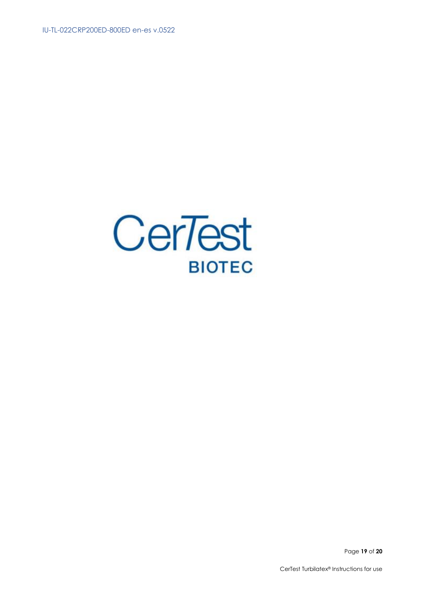

Page 19 of 20